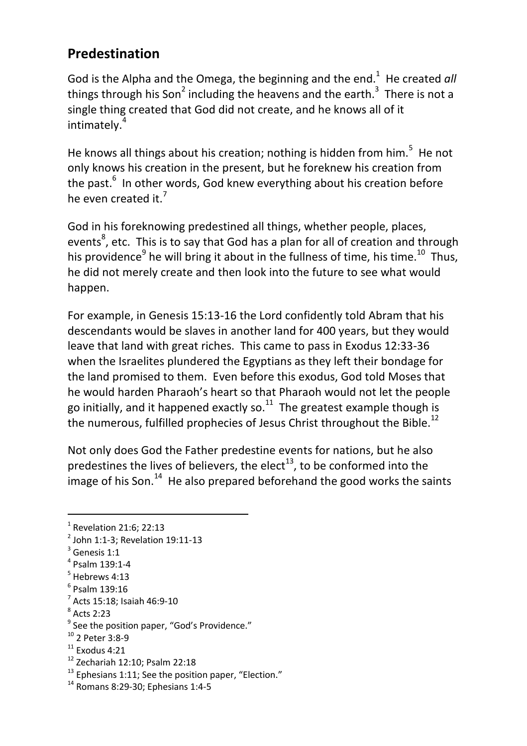## **Predestination**

God is the Alpha and the Omega, the beginning and the end.<sup>1</sup> He created all things through his Son<sup>2</sup> including the heavens and the earth.<sup>3</sup> There is not a single thing created that God did not create, and he knows all of it intimately.<sup>4</sup>

He knows all things about his creation; nothing is hidden from him.<sup>5</sup> He not only knows his creation in the present, but he foreknew his creation from the past.<sup>6</sup> In other words, God knew everything about his creation before he even created it.<sup>7</sup>

God in his foreknowing predestined all things, whether people, places, events $^8$ , etc. This is to say that God has a plan for all of creation and through his providence<sup>9</sup> he will bring it about in the fullness of time, his time.<sup>10</sup> Thus, he did not merely create and then look into the future to see what would happen.

For example, in Genesis 15:13-16 the Lord confidently told Abram that his descendants would be slaves in another land for 400 years, but they would leave that land with great riches. This came to pass in Exodus 12:33-36 when the Israelites plundered the Egyptians as they left their bondage for the land promised to them. Even before this exodus, God told Moses that he would harden Pharaoh's heart so that Pharaoh would not let the people go initially, and it happened exactly so. $11$  The greatest example though is the numerous, fulfilled prophecies of Jesus Christ throughout the Bible.<sup>12</sup>

Not only does God the Father predestine events for nations, but he also predestines the lives of believers, the elect<sup>13</sup>, to be conformed into the image of his Son. $14$  He also prepared beforehand the good works the saints

 $\overline{a}$ 

<sup>13</sup> Ephesians 1:11; See the position paper, "Election."

 $<sup>1</sup>$  Revelation 21:6; 22:13</sup>

<sup>&</sup>lt;sup>2</sup> John 1:1-3; Revelation 19:11-13

 $3$  Genesis 1:1

<sup>4</sup> Psalm 139:1-4

<sup>5</sup> Hebrews 4:13

<sup>6</sup> Psalm 139:16

<sup>7</sup> Acts 15:18; Isaiah 46:9-10

<sup>8</sup> Acts 2:23

<sup>&</sup>lt;sup>9</sup> See the position paper, "God's Providence."

<sup>10</sup> 2 Peter 3:8-9

 $11$  Exodus 4:21

<sup>12</sup> Zechariah 12:10; Psalm 22:18

<sup>14</sup> Romans 8:29-30; Ephesians 1:4-5